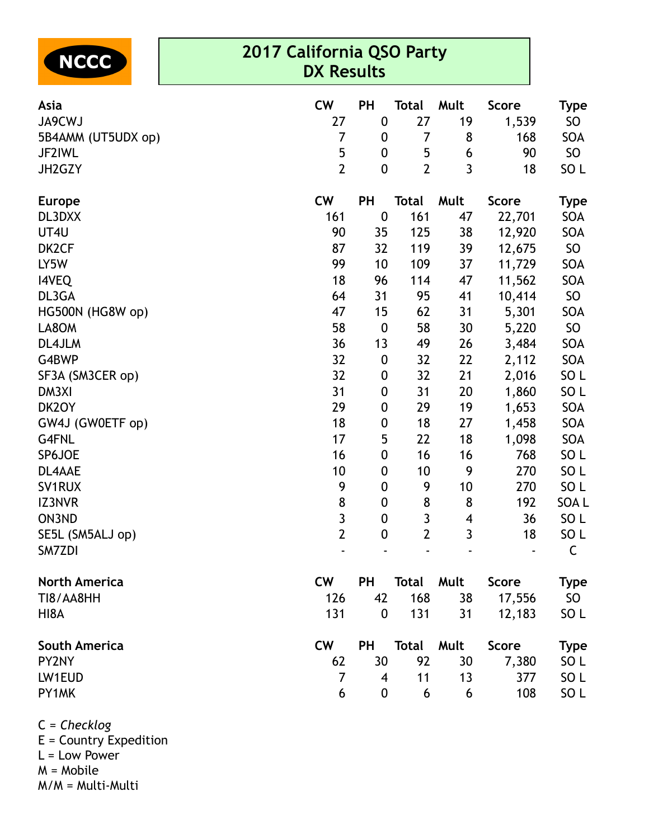

## **2017 California QSO Party DX Results**

| <b>Asia</b>          | <b>CW</b>      | PH               | <b>Total</b>   | Mult           | <b>Score</b> | Type            |
|----------------------|----------------|------------------|----------------|----------------|--------------|-----------------|
| <b>JA9CWJ</b>        | 27             | $\boldsymbol{0}$ | 27             | 19             | 1,539        | SO              |
| 5B4AMM (UT5UDX op)   | $\overline{7}$ | $\boldsymbol{0}$ | 7              | 8              | 168          | SOA             |
| JF2IWL               | 5              | $\boldsymbol{0}$ | 5              | 6              | 90           | SO <sub>1</sub> |
| JH2GZY               | $\overline{2}$ | $\boldsymbol{0}$ | $\overline{2}$ | 3              | 18           | SO <sub>L</sub> |
| <b>Europe</b>        | <b>CW</b>      | PH               | <b>Total</b>   | Mult           | <b>Score</b> | <b>Type</b>     |
| DL3DXX               | 161            | $\boldsymbol{0}$ | 161            | 47             | 22,701       | SOA             |
| UT4U                 | 90             | 35               | 125            | 38             | 12,920       | SOA             |
| DK2CF                | 87             | 32               | 119            | 39             | 12,675       | SO              |
| LY5W                 | 99             | 10               | 109            | 37             | 11,729       | SOA             |
| <b>I4VEQ</b>         | 18             | 96               | 114            | 47             | 11,562       | SOA             |
| DL3GA                | 64             | 31               | 95             | 41             | 10,414       | SO              |
| HG500N (HG8W op)     | 47             | 15               | 62             | 31             | 5,301        | SOA             |
| LA8OM                | 58             | $\boldsymbol{0}$ | 58             | 30             | 5,220        | SO              |
| DL4JLM               | 36             | 13               | 49             | 26             | 3,484        | SOA             |
| G4BWP                | 32             | $\boldsymbol{0}$ | 32             | 22             | 2,112        | SOA             |
| SF3A (SM3CER op)     | 32             | $\boldsymbol{0}$ | 32             | 21             | 2,016        | SO <sub>L</sub> |
| DM3XI                | 31             | $\boldsymbol{0}$ | 31             | 20             | 1,860        | SO <sub>L</sub> |
| DK2OY                | 29             | $\boldsymbol{0}$ | 29             | 19             | 1,653        | SOA             |
| GW4J (GW0ETF op)     | 18             | 0                | 18             | 27             | 1,458        | SOA             |
| G4FNL                | 17             | 5                | 22             | 18             | 1,098        | SOA             |
| SP6JOE               | 16             | $\boldsymbol{0}$ | 16             | 16             | 768          | SO <sub>L</sub> |
| DL4AAE               | 10             | 0                | 10             | 9              | 270          | SO <sub>L</sub> |
| SV1RUX               | 9              | $\boldsymbol{0}$ | 9              | 10             | 270          | SO <sub>L</sub> |
| IZ3NVR               | 8              | $\boldsymbol{0}$ | 8              | 8              | 192          | SOA L           |
| ON3ND                | $\overline{3}$ | $\boldsymbol{0}$ | $\mathbf{3}$   | 4              | 36           | SO <sub>L</sub> |
| SE5L (SM5ALJ op)     | $\overline{2}$ | $\boldsymbol{0}$ | $\mathbf{2}$   | $\overline{3}$ | 18           | SO <sub>L</sub> |
| SM7ZDI               |                |                  |                |                |              | $\mathsf C$     |
| <b>North America</b> | <b>CW</b>      | PH               | <b>Total</b>   | Mult           | <b>Score</b> | <b>Type</b>     |
| TI8/AA8HH            | 126            | 42               | 168            | 38             | 17,556       | SO              |
| HI8A                 | 131            | $\boldsymbol{0}$ | 131            | 31             | 12,183       | SO L            |
| <b>South America</b> | <b>CW</b>      | PH               | <b>Total</b>   | Mult           | <b>Score</b> | <b>Type</b>     |
| PY2NY                | 62             | 30               | 92             | 30             | 7,380        | SO L            |
| LW1EUD               | $\overline{7}$ | 4                | 11             | 13             | 377          | SO <sub>L</sub> |
| PY1MK                | 6              | 0                | 6              | 6              | 108          | SO <sub>L</sub> |

C = *Checklog* E = Country Expedition  $L =$  Low Power M = Mobile M/M = Multi-Multi